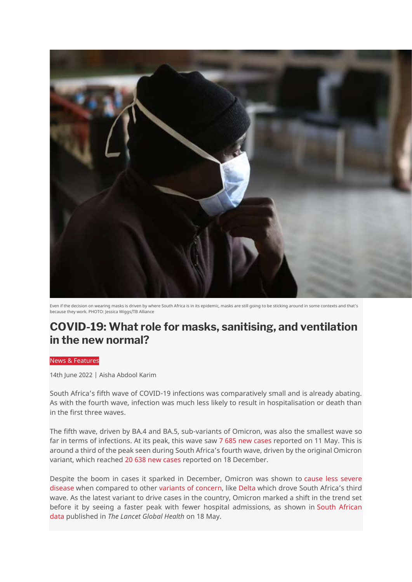

Even if the decision on wearing masks is driven by where South Africa is in its epidemic, masks are still going to be sticking around in some contexts and that's because they work. PHOTO: Jessica Wiggs/TB Alliance

# **COVID-19: What role for masks, sanitising, and ventilation in the new normal?**

#### News & Features

14th June 2022 | Aisha Abdool Karim

South Africa's fifth wave of COVID-19 infections was comparatively small and is already abating. As with the fourth wave, infection was much less likely to result in hospitalisation or death than in the first three waves.

The fifth wave, driven by BA.4 and BA.5, sub-variants of Omicron, was also the smallest wave so far in terms of infections. At its peak, this wave saw [7 685 new cases](https://theoutlier.co.za/covid-19/81382/covid-19-sa-vaccination-tracker) reported on 11 May. This is around a third of the peak seen during South Africa's fourth wave, driven by the original Omicron variant, which reached [20 638 new cases](https://theoutlier.co.za/covid-19/81382/covid-19-sa-vaccination-tracker) reported on 18 December.

Despite the boom in cases it sparked in December, Omicron was shown to [cause less severe](https://www.thelancet.com/journals/lancet/article/PIIS0140-6736(22)00017-4/fulltext)  [disease](https://www.thelancet.com/journals/lancet/article/PIIS0140-6736(22)00017-4/fulltext) when compared to other [variants of concern,](https://www.cdc.gov/coronavirus/2019-ncov/variants/omicron-variant.html#:~:text=Omicron%20infection%20generally%20causes%20less,the%20infection%20with%20this%20variant.) like [Delta](https://www.who.int/publications/i/item/9789240051829) which drove South Africa's third wave. As the latest variant to drive cases in the country, Omicron marked a shift in the trend set before it by seeing a faster peak with fewer hospital admissions, as shown in [South African](https://www.thelancet.com/journals/langlo/article/PIIS2214-109X(22)00114-0/fulltext)  [data](https://www.thelancet.com/journals/langlo/article/PIIS2214-109X(22)00114-0/fulltext) published in *The Lancet Global Health* on 18 May.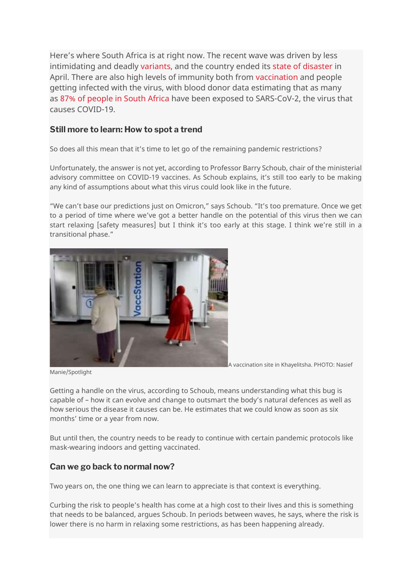Here's where South Africa is at right now. The recent wave was driven by less intimidating and deadly [variants,](https://www.nicd.ac.za/wp-content/uploads/2022/06/Update-of-SA-sequencing-data-from-GISAID-3-June-2022.pdf) and the country ended its [state of disaster](https://www.thepresidency.gov.za/speeches/statement-president-cyril-ramaphosa-termination-national-state-disaster-response-covid-19-pandemic) in April. There are also high levels of immunity both from [vaccination](https://sacoronavirus.co.za/latest-vaccine-statistics/) and people getting infected with the virus, with blood donor data estimating that as many as [87% of people in South Africa](https://www.researchsquare.com/article/rs-1687679/v2) have been exposed to SARS-CoV-2, the virus that causes COVID-19.

### **Still more to learn: How to spot a trend**

So does all this mean that it's time to let go of the remaining pandemic restrictions?

Unfortunately, the answer is not yet, according to Professor Barry Schoub, chair of the ministerial advisory committee on COVID-19 vaccines. As Schoub explains, it's still too early to be making any kind of assumptions about what this virus could look like in the future.

"We can't base our predictions just on Omicron," says Schoub. "It's too premature. Once we get to a period of time where we've got a better handle on the potential of this virus then we can start relaxing [safety measures] but I think it's too early at this stage. I think we're still in a transitional phase."



A vaccination site in Khayelitsha. PHOTO: Nasief

Manie/Spotlight

Getting a handle on the virus, according to Schoub, means understanding what this bug is capable of – how it can evolve and change to outsmart the body's natural defences as well as how serious the disease it causes can be. He estimates that we could know as soon as six months' time or a year from now.

But until then, the country needs to be ready to continue with certain pandemic protocols like mask-wearing indoors and getting vaccinated.

## **Can we go back to normal now?**

Two years on, the one thing we can learn to appreciate is that context is everything.

Curbing the risk to people's health has come at a high cost to their lives and this is something that needs to be balanced, argues Schoub. In periods between waves, he says, where the risk is lower there is no harm in relaxing some restrictions, as has been happening already.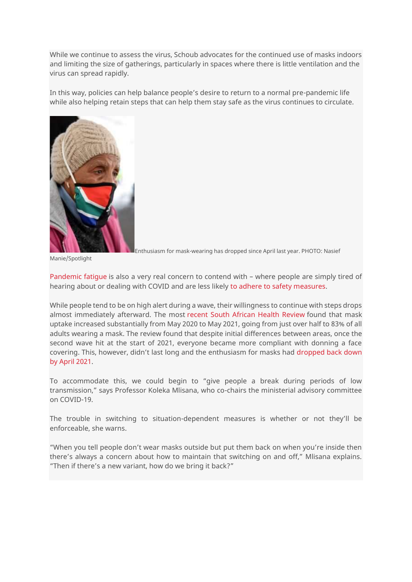While we continue to assess the virus, Schoub advocates for the continued use of masks indoors and limiting the size of gatherings, particularly in spaces where there is little ventilation and the virus can spread rapidly.

In this way, policies can help balance people's desire to return to a normal pre-pandemic life while also helping retain steps that can help them stay safe as the virus continues to circulate.



Enthusiasm for mask-wearing has dropped since April last year. PHOTO: Nasief

Manie/Spotlight

[Pandemic fatigue](https://apps.who.int/iris/bitstream/handle/10665/335820/WHO-EURO-2020-1160-40906-55390-eng.pdf) is also a very real concern to contend with – where people are simply tired of hearing about or dealing with COVID and are less likely [to adhere to safety measures.](https://www.sciencedirect.com/science/article/pii/S0140673621006322#bib46)

While people tend to be on high alert during a wave, their willingness to continue with steps drops almost immediately afterward. The most [recent South African Health Review](https://www.hst.org.za/publications/South%20African%20Health%20Reviews/SAHR21_WEB_NoBlank_sm_24022022_OD.pdf) found that mask uptake increased substantially from May 2020 to May 2021, going from just over half to 83% of all adults wearing a mask. The review found that despite initial differences between areas, once the second wave hit at the start of 2021, everyone became more compliant with donning a face covering. This, however, didn't last long and the enthusiasm for masks had [dropped back down](https://www.hst.org.za/publications/South%20African%20Health%20Reviews/SAHR21_WEB_NoBlank_sm_24022022_OD.pdf)  [by April 2021.](https://www.hst.org.za/publications/South%20African%20Health%20Reviews/SAHR21_WEB_NoBlank_sm_24022022_OD.pdf)

To accommodate this, we could begin to "give people a break during periods of low transmission," says Professor Koleka Mlisana, who co-chairs the ministerial advisory committee on COVID-19.

The trouble in switching to situation-dependent measures is whether or not they'll be enforceable, she warns.

"When you tell people don't wear masks outside but put them back on when you're inside then there's always a concern about how to maintain that switching on and off," Mlisana explains. "Then if there's a new variant, how do we bring it back?"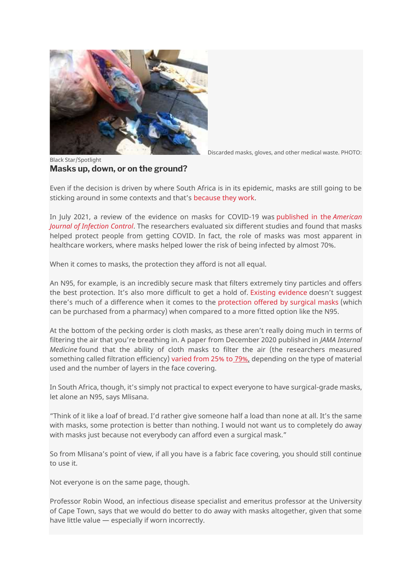

Discarded masks, gloves, and other medical waste. PHOTO:

Black Star/Spotlight **Masks up, down, or on the ground?**

Even if the decision is driven by where South Africa is in its epidemic, masks are still going to be sticking around in some contexts and that's [because they work.](https://www.ncbi.nlm.nih.gov/pmc/articles/PMC7883189/)

In July 2021, a review of the evidence on masks for COVID-19 was [published in the](https://www.sciencedirect.com/science/article/pii/S0196655320310439) *American [Journal of Infection Control](https://www.sciencedirect.com/science/article/pii/S0196655320310439)*. The researchers evaluated six different studies and found that masks helped protect people from getting COVID. In fact, the role of masks was most apparent in healthcare workers, where masks helped lower the risk of being infected by almost 70%.

When it comes to masks, the protection they afford is not all equal.

An N95, for example, is an incredibly secure mask that filters extremely tiny particles and offers the best protection. It's also more difficult to get a hold of. [Existing evidence](https://www.cmaj.ca/content/188/8/567?fbclid=IwAR34vdMwRdAYOOpRLAVmRXSq4Qdjg7_nY3L9OImgvLOcGM3NFPkhCCXeXpA) doesn't suggest there's much of a difference when it comes to the [protection offered by surgical masks](https://www.cochranelibrary.com/cdsr/doi/10.1002/14651858.CD006207.pub5/full) (which can be purchased from a pharmacy) when compared to a more fitted option like the N95.

At the bottom of the pecking order is cloth masks, as these aren't really doing much in terms of filtering the air that you're breathing in. A paper from December 2020 published in *JAMA Internal Medicine* found that the ability of cloth masks to filter the air (the researchers measured something called filtration efficiency) [varied from 25%](https://jamanetwork.com/journals/jamainternalmedicine/fullarticle/2774266?resultClick=1) to 79%, depending on the type of material used and the number of layers in the face covering.

In South Africa, though, it's simply not practical to expect everyone to have surgical-grade masks, let alone an N95, says Mlisana.

"Think of it like a loaf of bread. I'd rather give someone half a load than none at all. It's the same with masks, some protection is better than nothing. I would not want us to completely do away with masks just because not everybody can afford even a surgical mask."

So from Mlisana's point of view, if all you have is a fabric face covering, you should still continue to use it.

Not everyone is on the same page, though.

Professor Robin Wood, an infectious disease specialist and emeritus professor at the University of Cape Town, says that we would do better to do away with masks altogether, given that some have little value — especially if worn incorrectly.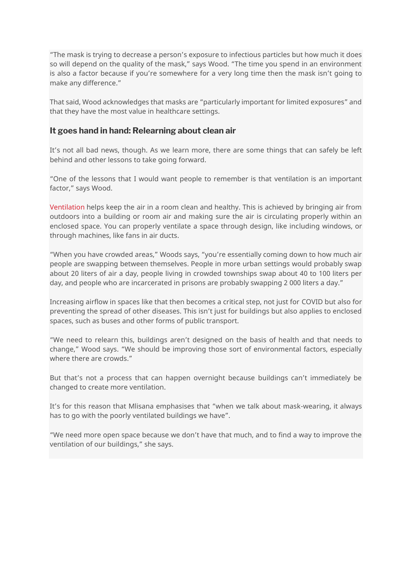"The mask is trying to decrease a person's exposure to infectious particles but how much it does so will depend on the quality of the mask," says Wood. "The time you spend in an environment is also a factor because if you're somewhere for a very long time then the mask isn't going to make any difference."

That said, Wood acknowledges that masks are "particularly important for limited exposures" and that they have the most value in healthcare settings.

### **It goes hand in hand: Relearning about clean air**

It's not all bad news, though. As we learn more, there are some things that can safely be left behind and other lessons to take going forward.

"One of the lessons that I would want people to remember is that ventilation is an important factor," says Wood.

[Ventilation](https://www.ncbi.nlm.nih.gov/books/NBK143277/) helps keep the air in a room clean and healthy. This is achieved by bringing air from outdoors into a building or room air and making sure the air is circulating properly within an enclosed space. You can properly ventilate a space through design, like including windows, or through machines, like fans in air ducts.

"When you have crowded areas," Woods says, "you're essentially coming down to how much air people are swapping between themselves. People in more urban settings would probably swap about 20 liters of air a day, people living in crowded townships swap about 40 to 100 liters per day, and people who are incarcerated in prisons are probably swapping 2 000 liters a day."

Increasing airflow in spaces like that then becomes a critical step, not just for COVID but also for preventing the spread of other diseases. This isn't just for buildings but also applies to enclosed spaces, such as buses and other forms of public transport.

"We need to relearn this, buildings aren't designed on the basis of health and that needs to change," Wood says. "We should be improving those sort of environmental factors, especially where there are crowds."

But that's not a process that can happen overnight because buildings can't immediately be changed to create more ventilation.

It's for this reason that Mlisana emphasises that "when we talk about mask-wearing, it always has to go with the poorly ventilated buildings we have".

"We need more open space because we don't have that much, and to find a way to improve the ventilation of our buildings," she says.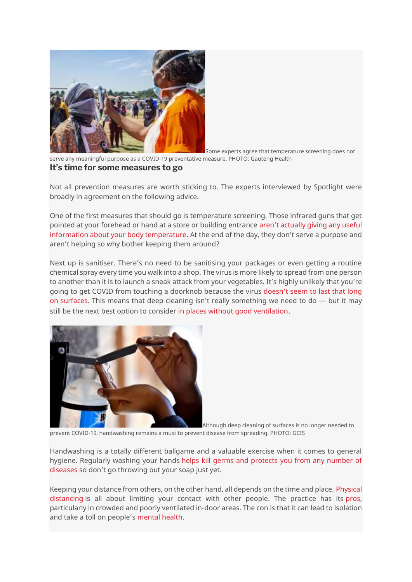

Some experts agree that temperature screening does not

serve any meaningful purpose as a COVID-19 preventative measure. PHOTO: Gauteng Health **It's time for some measures to go**

Not all prevention measures are worth sticking to. The experts interviewed by Spotlight were broadly in agreement on the following advice.

One of the first measures that should go is temperature screening. Those infrared guns that get pointed at your forehead or hand at a store or building entrance [aren't actually giving any useful](https://academic.oup.com/ofid/article/8/1/ofaa603/6032722)  [information about your body temperature](https://academic.oup.com/ofid/article/8/1/ofaa603/6032722). At the end of the day, they don't serve a purpose and aren't helping so why bother keeping them around?

Next up is sanitiser. There's no need to be sanitising your packages or even getting a routine chemical spray every time you walk into a shop. The virus is more likely to spread from one person to another than it is to launch a sneak attack from your vegetables. It's highly unlikely that you're going to get COVID from touching a doorknob because the virus [doesn't seem to last that long](https://www.thelancet.com/journals/laninf/article/PIIS1473-3099(20)30561-2/fulltext)  [on surfaces.](https://www.thelancet.com/journals/laninf/article/PIIS1473-3099(20)30561-2/fulltext) This means that deep cleaning isn't really something we need to do — but it may still be the next best option to consider [in places without good ventilation](https://www.nature.com/articles/d41586-021-00251-4).



Although deep cleaning of surfaces is no longer needed to prevent COVID-19, handwashing remains a must to prevent disease from spreading. PHOTO: GCIS

Handwashing is a totally different ballgame and a valuable exercise when it comes to general hygiene. Regularly washing your hands [helps kill germs and protects you from any number of](https://www.cdc.gov/handwashing/why-handwashing.html)  [diseases](https://www.cdc.gov/handwashing/why-handwashing.html) so don't go throwing out your soap just yet.

Keeping your distance from others, on the other hand, all depends on the time and place. [Physical](https://africacdc.org/download/guidance-on-community-social-distancing-during-covid-19-outbreak/)  [distancing](https://africacdc.org/download/guidance-on-community-social-distancing-during-covid-19-outbreak/) is all about limiting your contact with other people. The practice has its [pros,](https://www.sciencedirect.com/science/article/pii/S120197122030655X) particularly in crowded and poorly ventilated in-door areas. The con is that it can lead to isolation and take a toll on people's [mental health.](https://www.sciencedirect.com/science/article/pii/S2352827321002925)